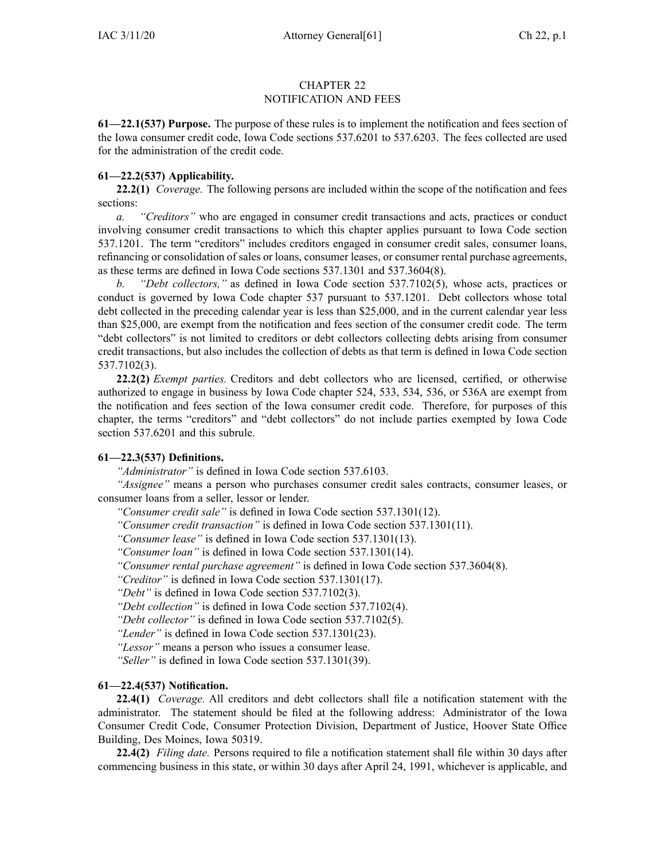## CHAPTER 22 NOTIFICATION AND FEES

**61—22.1(537) Purpose.** The purpose of these rules is to implement the notification and fees section of the Iowa consumer credit code, Iowa Code sections 537.6201 to [537.6203](https://www.legis.iowa.gov/docs/ico/section/537.6201-6203.pdf). The fees collected are used for the administration of the credit code.

## **61—22.2(537) Applicability.**

**22.2(1)** *Coverage.* The following persons are included within the scope of the notification and fees sections:

*a. "Creditors"* who are engaged in consumer credit transactions and acts, practices or conduct involving consumer credit transactions to which this chapter applies pursuan<sup>t</sup> to Iowa Code section [537.1201](https://www.legis.iowa.gov/docs/ico/section/537.1201.pdf). The term "creditors" includes creditors engaged in consumer credit sales, consumer loans, refinancing or consolidation of sales or loans, consumer leases, or consumer rental purchase agreements, as these terms are defined in Iowa Code sections [537.1301](https://www.legis.iowa.gov/docs/ico/section/537.1301.pdf) and [537.3604\(8\)](https://www.legis.iowa.gov/docs/ico/section/537.3604.pdf).

*b. "Debt collectors,"* as defined in Iowa Code section [537.7102\(5\)](https://www.legis.iowa.gov/docs/ico/section/537.7102.pdf), whose acts, practices or conduct is governed by Iowa Code chapter [537](https://www.legis.iowa.gov/docs/ico/chapter/537.pdf) pursuan<sup>t</sup> to [537.1201](https://www.legis.iowa.gov/docs/ico/section/537.1201.pdf). Debt collectors whose total debt collected in the preceding calendar year is less than \$25,000, and in the current calendar year less than \$25,000, are exemp<sup>t</sup> from the notification and fees section of the consumer credit code. The term "debt collectors" is not limited to creditors or debt collectors collecting debts arising from consumer credit transactions, but also includes the collection of debts as that term is defined in Iowa Code section [537.7102\(3\)](https://www.legis.iowa.gov/docs/ico/section/537.7102.pdf).

**22.2(2)** *Exempt parties.* Creditors and debt collectors who are licensed, certified, or otherwise authorized to engage in business by Iowa Code chapter [524](https://www.legis.iowa.gov/docs/ico/chapter/524.pdf), [533](https://www.legis.iowa.gov/docs/ico/chapter/533.pdf), [534](https://www.legis.iowa.gov/docs/ico/chapter/534.pdf), [536](https://www.legis.iowa.gov/docs/ico/chapter/536.pdf), or [536A](https://www.legis.iowa.gov/docs/ico/chapter/536A.pdf) are exemp<sup>t</sup> from the notification and fees section of the Iowa consumer credit code. Therefore, for purposes of this chapter, the terms "creditors" and "debt collectors" do not include parties exempted by Iowa Code section [537.6201](https://www.legis.iowa.gov/docs/ico/section/537.6201.pdf) and this subrule.

## **61—22.3(537) Definitions.**

*"Administrator"* is defined in Iowa Code section [537.6103](https://www.legis.iowa.gov/docs/ico/section/537.6103.pdf).

*"Assignee"* means <sup>a</sup> person who purchases consumer credit sales contracts, consumer leases, or consumer loans from <sup>a</sup> seller, lessor or lender.

*"Consumer credit sale"* is defined in Iowa Code section [537.1301\(12\)](https://www.legis.iowa.gov/docs/ico/section/537.1301.pdf).

*"Consumer credit transaction"* is defined in Iowa Code section [537.1301\(11\)](https://www.legis.iowa.gov/docs/ico/section/537.1301.pdf).

*"Consumer lease"* is defined in Iowa Code section [537.1301\(13\)](https://www.legis.iowa.gov/docs/ico/section/537.1301.pdf).

*"Consumer loan"* is defined in Iowa Code section [537.1301\(14\)](https://www.legis.iowa.gov/docs/ico/section/537.1301.pdf).

*"Consumer rental purchase agreement"* is defined in Iowa Code section [537.3604\(8\)](https://www.legis.iowa.gov/docs/ico/section/537.3604.pdf).

*"Creditor"* is defined in Iowa Code section [537.1301\(17\)](https://www.legis.iowa.gov/docs/ico/section/537.1301.pdf).

*"Debt"* is defined in Iowa Code section [537.7102\(3\)](https://www.legis.iowa.gov/docs/ico/section/537.7102.pdf).

*"Debt collection"* is defined in Iowa Code section [537.7102\(4\)](https://www.legis.iowa.gov/docs/ico/section/537.7102.pdf).

*"Debt collector"* is defined in Iowa Code section [537.7102\(5\)](https://www.legis.iowa.gov/docs/ico/section/537.7102.pdf).

*"Lender"* is defined in Iowa Code section [537.1301\(23\)](https://www.legis.iowa.gov/docs/ico/section/537.1301.pdf).

*"Lessor"* means <sup>a</sup> person who issues <sup>a</sup> consumer lease.

*"Seller"* is defined in Iowa Code section [537.1301\(39\)](https://www.legis.iowa.gov/docs/ico/section/537.1301.pdf).

## **61—22.4(537) Notification.**

**22.4(1)** *Coverage.* All creditors and debt collectors shall file <sup>a</sup> notification statement with the administrator. The statement should be filed at the following address: Administrator of the Iowa Consumer Credit Code, Consumer Protection Division, Department of Justice, Hoover State Office Building, Des Moines, Iowa 50319.

**22.4(2)** *Filing date.* Persons required to file <sup>a</sup> notification statement shall file within 30 days after commencing business in this state, or within 30 days after April 24, 1991, whichever is applicable, and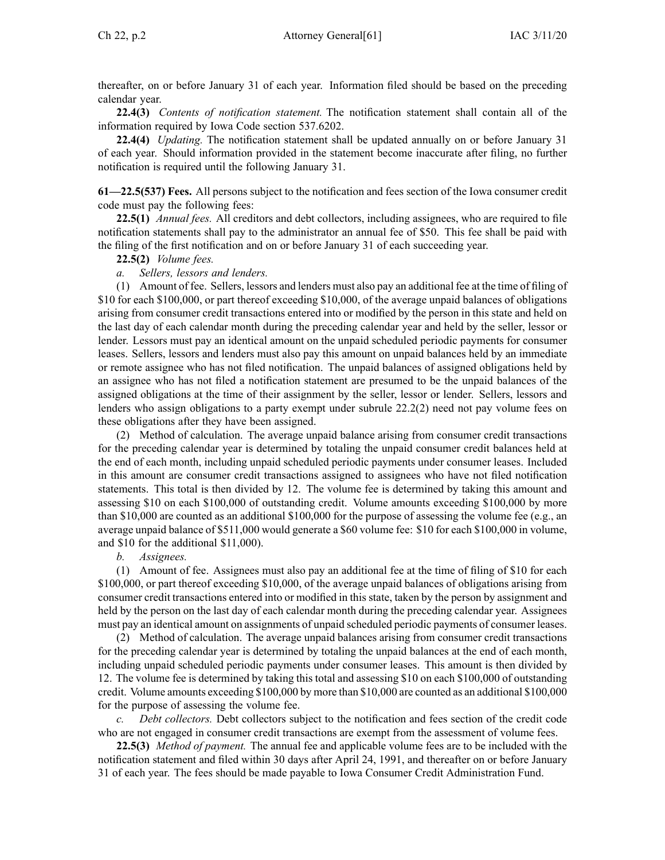thereafter, on or before January 31 of each year. Information filed should be based on the preceding calendar year.

**22.4(3)** *Contents of notification statement.* The notification statement shall contain all of the information required by Iowa Code section [537.6202](https://www.legis.iowa.gov/docs/ico/section/537.6202.pdf).

**22.4(4)** *Updating.* The notification statement shall be updated annually on or before January 31 of each year. Should information provided in the statement become inaccurate after filing, no further notification is required until the following January 31.

**61—22.5(537) Fees.** All persons subject to the notification and fees section of the Iowa consumer credit code must pay the following fees:

**22.5(1)** *Annual fees.* All creditors and debt collectors, including assignees, who are required to file notification statements shall pay to the administrator an annual fee of \$50. This fee shall be paid with the filing of the first notification and on or before January 31 of each succeeding year.

**22.5(2)** *Volume fees.*

*a. Sellers, lessors and lenders.*

(1) Amount of fee. Sellers, lessors and lenders must also pay an additional fee at the time of filing of \$10 for each \$100,000, or par<sup>t</sup> thereof exceeding \$10,000, of the average unpaid balances of obligations arising from consumer credit transactions entered into or modified by the person in this state and held on the last day of each calendar month during the preceding calendar year and held by the seller, lessor or lender. Lessors must pay an identical amount on the unpaid scheduled periodic payments for consumer leases. Sellers, lessors and lenders must also pay this amount on unpaid balances held by an immediate or remote assignee who has not filed notification. The unpaid balances of assigned obligations held by an assignee who has not filed <sup>a</sup> notification statement are presumed to be the unpaid balances of the assigned obligations at the time of their assignment by the seller, lessor or lender. Sellers, lessors and lenders who assign obligations to <sup>a</sup> party exemp<sup>t</sup> under subrule [22.2\(2\)](https://www.legis.iowa.gov/docs/iac/rule/61.22.2.pdf) need not pay volume fees on these obligations after they have been assigned.

(2) Method of calculation. The average unpaid balance arising from consumer credit transactions for the preceding calendar year is determined by totaling the unpaid consumer credit balances held at the end of each month, including unpaid scheduled periodic payments under consumer leases. Included in this amount are consumer credit transactions assigned to assignees who have not filed notification statements. This total is then divided by 12. The volume fee is determined by taking this amount and assessing \$10 on each \$100,000 of outstanding credit. Volume amounts exceeding \$100,000 by more than \$10,000 are counted as an additional \$100,000 for the purpose of assessing the volume fee (e.g., an average unpaid balance of \$511,000 would generate <sup>a</sup> \$60 volume fee: \$10 for each \$100,000 in volume, and \$10 for the additional \$11,000).

*b. Assignees.*

(1) Amount of fee. Assignees must also pay an additional fee at the time of filing of \$10 for each \$100,000, or par<sup>t</sup> thereof exceeding \$10,000, of the average unpaid balances of obligations arising from consumer credit transactions entered into or modified in this state, taken by the person by assignment and held by the person on the last day of each calendar month during the preceding calendar year. Assignees must pay an identical amount on assignments of unpaid scheduled periodic payments of consumer leases.

(2) Method of calculation. The average unpaid balances arising from consumer credit transactions for the preceding calendar year is determined by totaling the unpaid balances at the end of each month, including unpaid scheduled periodic payments under consumer leases. This amount is then divided by 12. The volume fee is determined by taking this total and assessing \$10 on each \$100,000 of outstanding credit. Volume amounts exceeding \$100,000 by more than \$10,000 are counted as an additional \$100,000 for the purpose of assessing the volume fee.

*Debt collectors.* Debt collectors subject to the notification and fees section of the credit code who are not engaged in consumer credit transactions are exemp<sup>t</sup> from the assessment of volume fees.

**22.5(3)** *Method of payment.* The annual fee and applicable volume fees are to be included with the notification statement and filed within 30 days after April 24, 1991, and thereafter on or before January 31 of each year. The fees should be made payable to Iowa Consumer Credit Administration Fund.